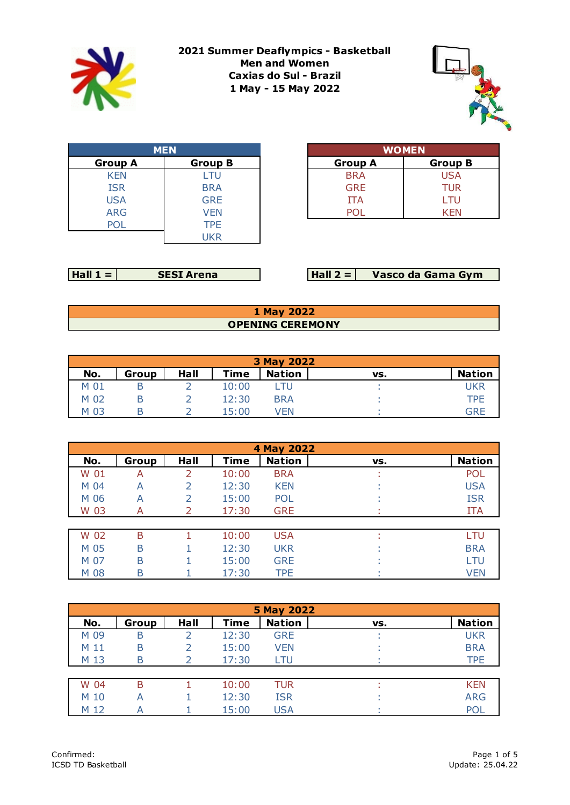

**2021 Summer Deaflympics - Basketball Men and Women Caxias do Sul - Brazil 1 May - 15 May 2022**



| <b>MEN</b>     |                |  |  |  |  |  |
|----------------|----------------|--|--|--|--|--|
| <b>Group A</b> | <b>Group B</b> |  |  |  |  |  |
| <b>KEN</b>     | LTU            |  |  |  |  |  |
| <b>ISR</b>     | <b>BRA</b>     |  |  |  |  |  |
| <b>USA</b>     | <b>GRE</b>     |  |  |  |  |  |
| <b>ARG</b>     | <b>VEN</b>     |  |  |  |  |  |
| P()            | <b>TPF</b>     |  |  |  |  |  |
|                | UKR            |  |  |  |  |  |

| <b>MEN</b> |                |  |                | <b>WOMEN</b>   |
|------------|----------------|--|----------------|----------------|
|            | <b>Group B</b> |  | <b>Group A</b> | <b>Group B</b> |
|            | LTU            |  | <b>BRA</b>     | <b>USA</b>     |
|            | <b>BRA</b>     |  | <b>GRE</b>     | <b>TUR</b>     |
|            | <b>GRE</b>     |  | <b>ITA</b>     | LTU            |
|            | VFN            |  |                | KFN            |

| l Hall<br>.SI Arena |
|---------------------|
|---------------------|

**Hall 2 = SESI Arena Vasco da Gama Gym**

## **1 May 2022 OPENING CEREMONY**

| 3 May 2022 |       |      |             |               |     |               |  |  |  |
|------------|-------|------|-------------|---------------|-----|---------------|--|--|--|
| No.        | Group | Hall | <b>Time</b> | <b>Nation</b> | VS. | <b>Nation</b> |  |  |  |
| M 01       |       |      | 10:00       |               |     | UKR           |  |  |  |
| M 02       |       |      | 12:30       | <b>BRA</b>    |     | TPF           |  |  |  |
| M 03       |       |      | 15:00       | VEN           |     | GRE           |  |  |  |

|      | 4 May 2022 |      |             |               |     |               |  |  |  |  |  |
|------|------------|------|-------------|---------------|-----|---------------|--|--|--|--|--|
| No.  | Group      | Hall | <b>Time</b> | <b>Nation</b> | VS. | <b>Nation</b> |  |  |  |  |  |
| W 01 | А          |      | 10:00       | <b>BRA</b>    | ٠   | <b>POL</b>    |  |  |  |  |  |
| M 04 | А          |      | 12:30       | <b>KEN</b>    |     | <b>USA</b>    |  |  |  |  |  |
| M 06 | A          |      | 15:00       | <b>POL</b>    |     | <b>ISR</b>    |  |  |  |  |  |
| W 03 | A          |      | 17:30       | <b>GRE</b>    | ٠   | <b>ITA</b>    |  |  |  |  |  |
|      |            |      |             |               |     |               |  |  |  |  |  |
| W 02 | B          |      | 10:00       | <b>USA</b>    | ٠   | LTU           |  |  |  |  |  |
| M 05 | B          |      | 12:30       | <b>UKR</b>    |     | <b>BRA</b>    |  |  |  |  |  |
| M 07 | B          |      | 15:00       | <b>GRE</b>    |     | LTU           |  |  |  |  |  |
| M 08 | B          |      | 17:30       | <b>TPE</b>    |     | <b>VEN</b>    |  |  |  |  |  |

|      | 5 May 2022 |      |             |               |     |               |  |  |  |  |
|------|------------|------|-------------|---------------|-----|---------------|--|--|--|--|
| No.  | Group      | Hall | <b>Time</b> | <b>Nation</b> | VS. | <b>Nation</b> |  |  |  |  |
| M 09 | B          |      | 12:30       | <b>GRE</b>    |     | <b>UKR</b>    |  |  |  |  |
| M 11 | B          |      | 15:00       | <b>VEN</b>    |     | <b>BRA</b>    |  |  |  |  |
| M 13 | B          |      | 17:30       | LTU           |     | <b>TPE</b>    |  |  |  |  |
|      |            |      |             |               |     |               |  |  |  |  |
| W 04 | B          |      | 10:00       | TUR           |     | <b>KEN</b>    |  |  |  |  |
| M 10 | А          |      | 12:30       | <b>ISR</b>    |     | <b>ARG</b>    |  |  |  |  |
| M 12 | А          |      | 15:00       | <b>USA</b>    |     | POL           |  |  |  |  |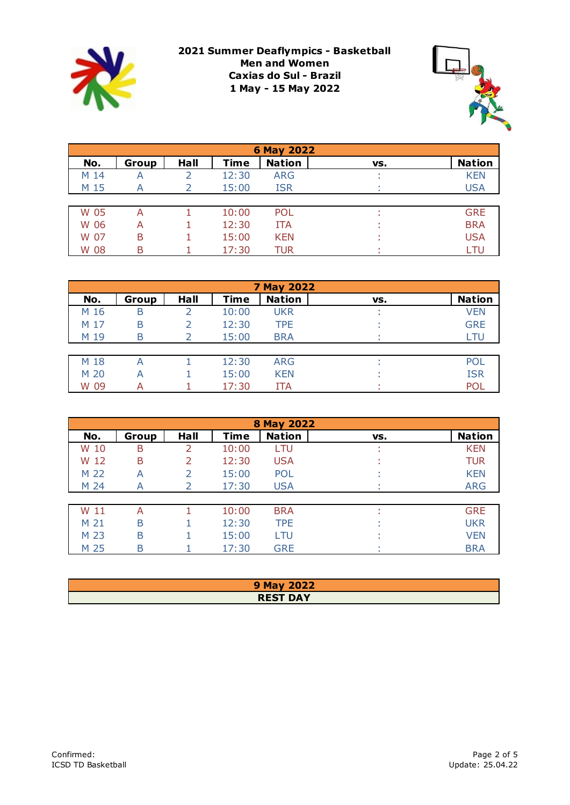

**2021 Summer Deaflympics - Basketball Men and Women Caxias do Sul - Brazil 1 May - 15 May 2022**



|      | 6 May 2022 |      |             |               |     |               |  |  |  |  |
|------|------------|------|-------------|---------------|-----|---------------|--|--|--|--|
| No.  | Group      | Hall | <b>Time</b> | <b>Nation</b> | VS. | <b>Nation</b> |  |  |  |  |
| M 14 | А          |      | 12:30       | <b>ARG</b>    |     | <b>KEN</b>    |  |  |  |  |
| M 15 | А          |      | 15:00       | <b>ISR</b>    |     | <b>USA</b>    |  |  |  |  |
|      |            |      |             |               |     |               |  |  |  |  |
| W 05 | А          |      | 10:00       | <b>POL</b>    |     | <b>GRE</b>    |  |  |  |  |
| W 06 | А          |      | 12:30       | <b>ITA</b>    |     | <b>BRA</b>    |  |  |  |  |
| W 07 | B          |      | 15:00       | <b>KEN</b>    |     | <b>USA</b>    |  |  |  |  |
| W 08 | B          |      | 17:30       | TUR           |     | LTU           |  |  |  |  |

|      | 7 May 2022 |      |             |               |     |               |  |  |  |  |
|------|------------|------|-------------|---------------|-----|---------------|--|--|--|--|
| No.  | Group      | Hall | <b>Time</b> | <b>Nation</b> | VS. | <b>Nation</b> |  |  |  |  |
| M 16 | B          |      | 10:00       | <b>UKR</b>    |     | <b>VEN</b>    |  |  |  |  |
| M 17 | B          |      | 12:30       | <b>TPE</b>    |     | <b>GRE</b>    |  |  |  |  |
| M 19 | B          |      | 15:00       | <b>BRA</b>    |     | LTU           |  |  |  |  |
|      |            |      |             |               |     |               |  |  |  |  |
| M 18 | А          |      | 12:30       | <b>ARG</b>    |     | POI           |  |  |  |  |
| M 20 | А          |      | 15:00       | <b>KEN</b>    |     | <b>ISR</b>    |  |  |  |  |
| W 09 | А          |      | 17:30       | ITA           |     | POI           |  |  |  |  |

|      | <b>8 May 2022</b> |      |             |               |     |               |  |  |  |  |  |
|------|-------------------|------|-------------|---------------|-----|---------------|--|--|--|--|--|
| No.  | Group             | Hall | <b>Time</b> | <b>Nation</b> | VS. | <b>Nation</b> |  |  |  |  |  |
| W 10 | B                 |      | 10:00       | LTU           |     | <b>KEN</b>    |  |  |  |  |  |
| W 12 | B                 |      | 12:30       | <b>USA</b>    |     | <b>TUR</b>    |  |  |  |  |  |
| M 22 | A                 |      | 15:00       | <b>POL</b>    |     | <b>KEN</b>    |  |  |  |  |  |
| M 24 | A                 |      | 17:30       | <b>USA</b>    |     | <b>ARG</b>    |  |  |  |  |  |
|      |                   |      |             |               |     |               |  |  |  |  |  |
| W 11 | A                 |      | 10:00       | <b>BRA</b>    |     | <b>GRE</b>    |  |  |  |  |  |
| M 21 | B                 |      | 12:30       | <b>TPE</b>    |     | <b>UKR</b>    |  |  |  |  |  |
| M 23 | B                 |      | 15:00       | LTU           |     | <b>VEN</b>    |  |  |  |  |  |
| M 25 | Β                 |      | 17:30       | <b>GRE</b>    |     | <b>BRA</b>    |  |  |  |  |  |

| 9 May 2022      |
|-----------------|
| <b>REST DAY</b> |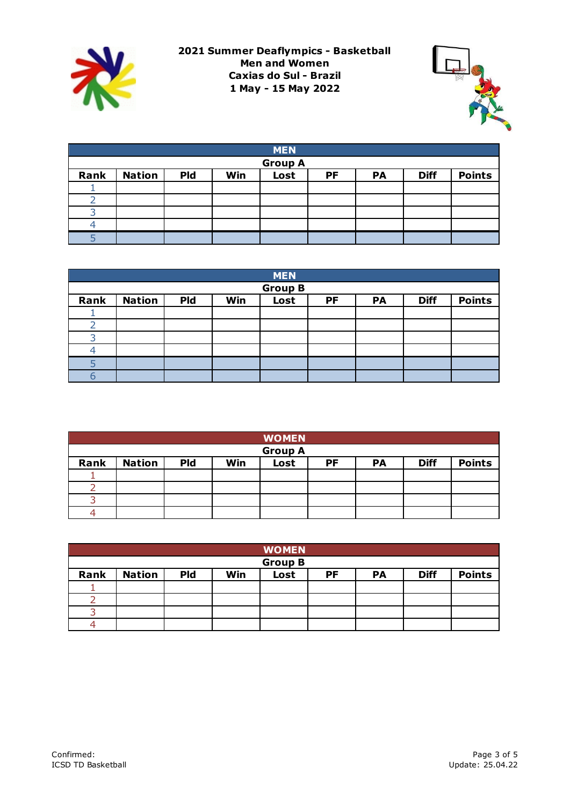



|                | <b>MEN</b>    |            |     |      |    |    |             |               |  |  |  |
|----------------|---------------|------------|-----|------|----|----|-------------|---------------|--|--|--|
| <b>Group A</b> |               |            |     |      |    |    |             |               |  |  |  |
| Rank           | <b>Nation</b> | <b>Pld</b> | Win | Lost | PF | PA | <b>Diff</b> | <b>Points</b> |  |  |  |
|                |               |            |     |      |    |    |             |               |  |  |  |
|                |               |            |     |      |    |    |             |               |  |  |  |
|                |               |            |     |      |    |    |             |               |  |  |  |
|                |               |            |     |      |    |    |             |               |  |  |  |
|                |               |            |     |      |    |    |             |               |  |  |  |

|      | <b>MEN</b>     |            |     |      |    |    |             |               |  |  |  |
|------|----------------|------------|-----|------|----|----|-------------|---------------|--|--|--|
|      | <b>Group B</b> |            |     |      |    |    |             |               |  |  |  |
| Rank | <b>Nation</b>  | <b>Pld</b> | Win | Lost | PF | PA | <b>Diff</b> | <b>Points</b> |  |  |  |
|      |                |            |     |      |    |    |             |               |  |  |  |
|      |                |            |     |      |    |    |             |               |  |  |  |
| っ    |                |            |     |      |    |    |             |               |  |  |  |
|      |                |            |     |      |    |    |             |               |  |  |  |
|      |                |            |     |      |    |    |             |               |  |  |  |
|      |                |            |     |      |    |    |             |               |  |  |  |

|      |               |            |     | <b>WOMEN</b>   |    |    |             |               |
|------|---------------|------------|-----|----------------|----|----|-------------|---------------|
|      |               |            |     | <b>Group A</b> |    |    |             |               |
| Rank | <b>Nation</b> | <b>Pld</b> | Win | Lost           | PF | PA | <b>Diff</b> | <b>Points</b> |
|      |               |            |     |                |    |    |             |               |
|      |               |            |     |                |    |    |             |               |
|      |               |            |     |                |    |    |             |               |
|      |               |            |     |                |    |    |             |               |

|      |               |            |     | <b>WOMEN</b>   |    |           |             |               |
|------|---------------|------------|-----|----------------|----|-----------|-------------|---------------|
|      |               |            |     | <b>Group B</b> |    |           |             |               |
| Rank | <b>Nation</b> | <b>Pld</b> | Win | Lost           | PF | <b>PA</b> | <b>Diff</b> | <b>Points</b> |
|      |               |            |     |                |    |           |             |               |
|      |               |            |     |                |    |           |             |               |
|      |               |            |     |                |    |           |             |               |
|      |               |            |     |                |    |           |             |               |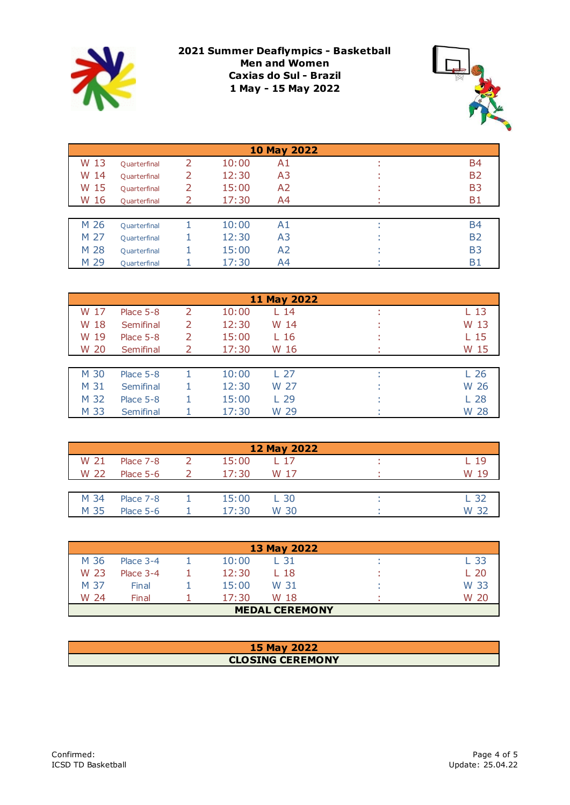

**2021 Summer Deaflympics - Basketball Men and Women Caxias do Sul - Brazil 1 May - 15 May 2022**



| <b>10 May 2022</b> |              |                          |       |                |  |                |
|--------------------|--------------|--------------------------|-------|----------------|--|----------------|
| W 13               | Quarterfinal | $\overline{\mathcal{L}}$ | 10:00 | A1             |  | B4             |
| W 14               | Quarterfinal |                          | 12:30 | A3             |  | <b>B2</b>      |
| W 15               | Quarterfinal |                          | 15:00 | A2             |  | B <sub>3</sub> |
| W 16               | Quarterfinal |                          | 17:30 | A4             |  | <b>B1</b>      |
|                    |              |                          |       |                |  |                |
| M 26               | Quarterfinal |                          | 10:00 | A1             |  | <b>B4</b>      |
| M 27               | Quarterfinal |                          | 12:30 | A <sub>3</sub> |  | <b>B2</b>      |
| M 28               | Quarterfinal |                          | 15:00 | A <sub>2</sub> |  | <b>B3</b>      |
| M 29               | Quarterfinal |                          | 17:30 | A4             |  | <b>B1</b>      |

|      |             |   |       | <b>11 May 2022</b> |                 |
|------|-------------|---|-------|--------------------|-----------------|
| W 17 | Place $5-8$ | 2 | 10:00 | 14                 | L 13            |
| W 18 | Semifinal   |   | 12:30 | W 14               | W 13            |
| W 19 | Place 5-8   | 2 | 15:00 | L 16               | L 15            |
| W 20 | Semifinal   |   | 17:30 | W 16               | W 15            |
|      |             |   |       |                    |                 |
| M 30 | Place $5-8$ |   | 10:00 | L 27               | L <sub>26</sub> |
| M 31 | Semifinal   |   | 12:30 | W 27               | W 26            |
| M 32 | Place $5-8$ |   | 15:00 | L <sub>29</sub>    | L <sub>28</sub> |
| M 33 | Semifinal   |   | 17:30 | W 29               | W 28            |

|      |             |       | 12 May 2022 |         |
|------|-------------|-------|-------------|---------|
| W 21 | Place 7-8   | 15:00 | L 17        | L 19    |
| W 22 | Place 5-6   | 17:30 | W 17        | 10<br>w |
|      |             |       |             |         |
| M 34 | Place 7-8   | 15:00 | L 30        | L 30    |
| M 35 | Place $5-6$ | 17:30 | W 30        | W       |

| 13 May 2022           |             |  |       |      |  |      |
|-----------------------|-------------|--|-------|------|--|------|
| M 36                  | Place 3-4   |  | 10:00 | L 31 |  | L 33 |
| W 23                  | Place $3-4$ |  | 12:30 | L 18 |  | L 20 |
| M 37                  | Final       |  | 15:00 | W 31 |  | W 33 |
| W 24                  | Final       |  | 17:30 | W 18 |  | W 20 |
| <b>MEDAL CEREMONY</b> |             |  |       |      |  |      |

| <b>15 May 2022</b>      |
|-------------------------|
| <b>CLOSING CEREMONY</b> |